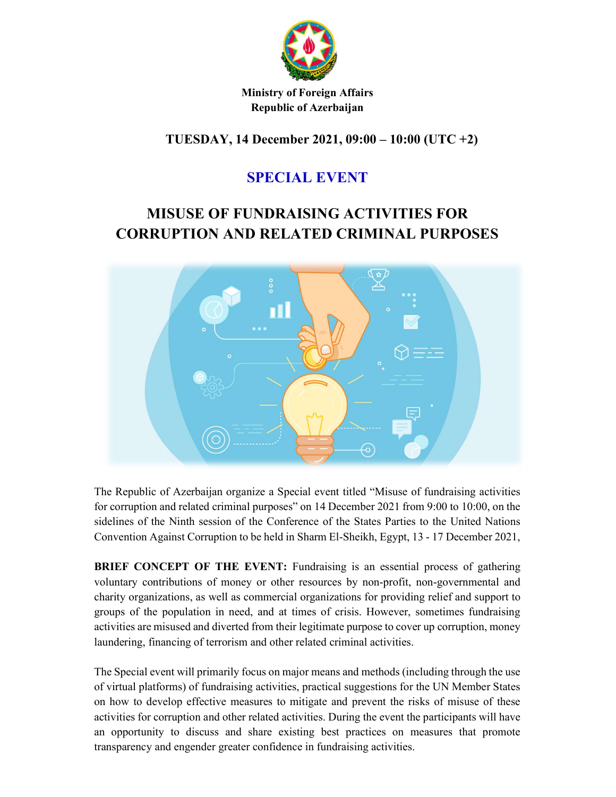

Ministry of Foreign Affairs Republic of Azerbaijan

TUESDAY, 14 December 2021, 09:00 – 10:00 (UTC +2)

## SPECIAL EVENT

# MISUSE OF FUNDRAISING ACTIVITIES FOR CORRUPTION AND RELATED CRIMINAL PURPOSES



The Republic of Azerbaijan organize a Special event titled "Misuse of fundraising activities for corruption and related criminal purposes" on 14 December 2021 from 9:00 to 10:00, on the sidelines of the Ninth session of the Conference of the States Parties to the United Nations Convention Against Corruption to be held in Sharm El-Sheikh, Egypt, 13 - 17 December 2021,

BRIEF CONCEPT OF THE EVENT: Fundraising is an essential process of gathering voluntary contributions of money or other resources by non-profit, non-governmental and charity organizations, as well as commercial organizations for providing relief and support to groups of the population in need, and at times of crisis. However, sometimes fundraising activities are misused and diverted from their legitimate purpose to cover up corruption, money laundering, financing of terrorism and other related criminal activities.

The Special event will primarily focus on major means and methods (including through the use of virtual platforms) of fundraising activities, practical suggestions for the UN Member States on how to develop effective measures to mitigate and prevent the risks of misuse of these activities for corruption and other related activities. During the event the participants will have an opportunity to discuss and share existing best practices on measures that promote transparency and engender greater confidence in fundraising activities.